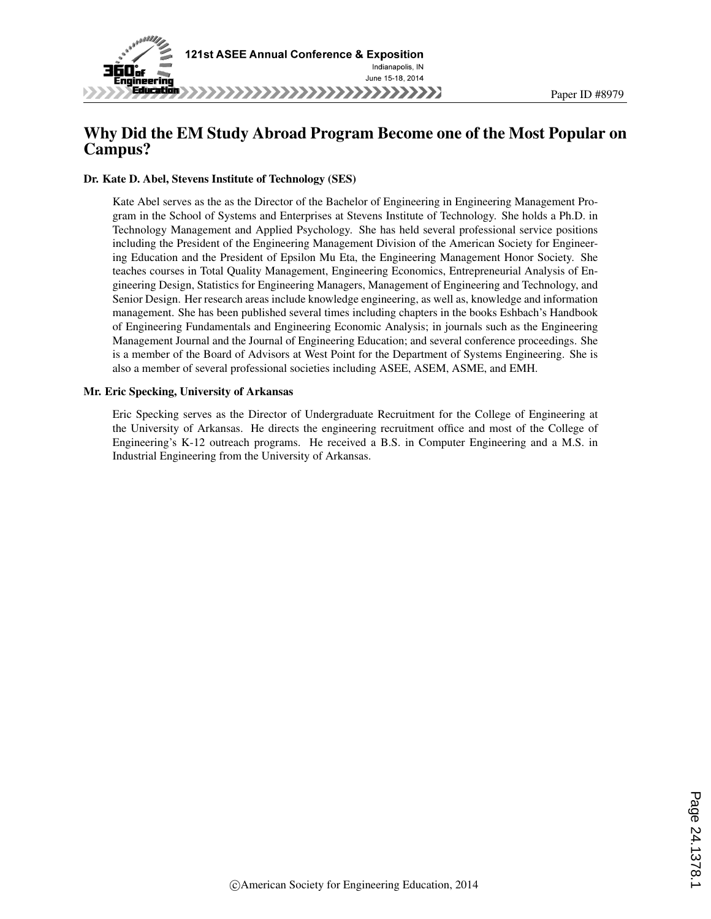

# Why Did the EM Study Abroad Program Become one of the Most Popular on Campus?

#### Dr. Kate D. Abel, Stevens Institute of Technology (SES)

Kate Abel serves as the as the Director of the Bachelor of Engineering in Engineering Management Program in the School of Systems and Enterprises at Stevens Institute of Technology. She holds a Ph.D. in Technology Management and Applied Psychology. She has held several professional service positions including the President of the Engineering Management Division of the American Society for Engineering Education and the President of Epsilon Mu Eta, the Engineering Management Honor Society. She teaches courses in Total Quality Management, Engineering Economics, Entrepreneurial Analysis of Engineering Design, Statistics for Engineering Managers, Management of Engineering and Technology, and Senior Design. Her research areas include knowledge engineering, as well as, knowledge and information management. She has been published several times including chapters in the books Eshbach's Handbook of Engineering Fundamentals and Engineering Economic Analysis; in journals such as the Engineering Management Journal and the Journal of Engineering Education; and several conference proceedings. She is a member of the Board of Advisors at West Point for the Department of Systems Engineering. She is also a member of several professional societies including ASEE, ASEM, ASME, and EMH.

#### Mr. Eric Specking, University of Arkansas

Eric Specking serves as the Director of Undergraduate Recruitment for the College of Engineering at the University of Arkansas. He directs the engineering recruitment office and most of the College of Engineering's K-12 outreach programs. He received a B.S. in Computer Engineering and a M.S. in Industrial Engineering from the University of Arkansas.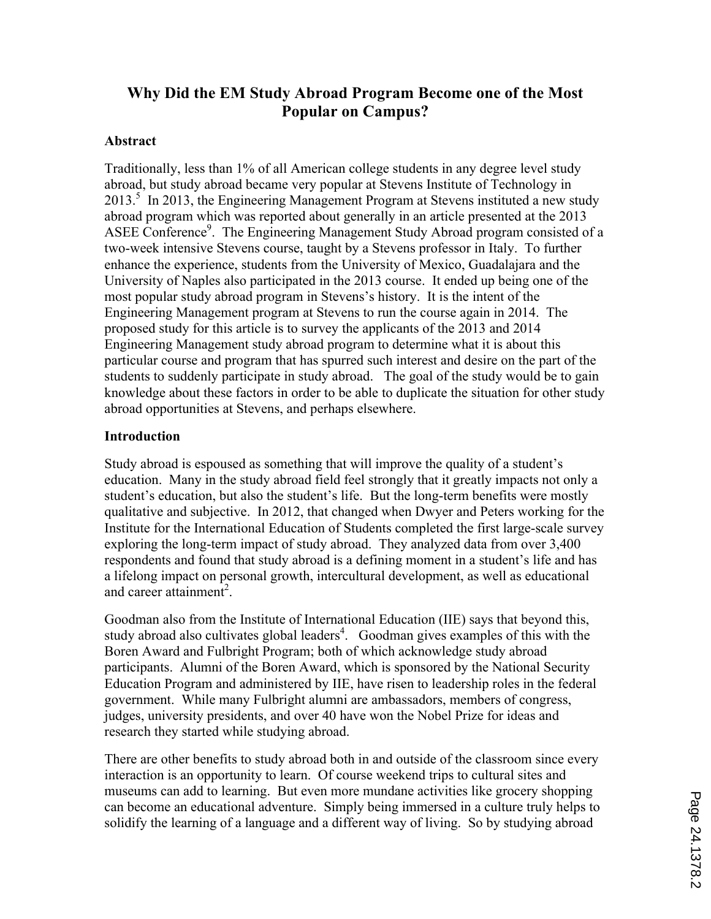# **Why Did the EM Study Abroad Program Become one of the Most Popular on Campus?**

#### **Abstract**

Traditionally, less than 1% of all American college students in any degree level study abroad, but study abroad became very popular at Stevens Institute of Technology in 2013.<sup>5</sup> In 2013, the Engineering Management Program at Stevens instituted a new study abroad program which was reported about generally in an article presented at the 2013 ASEE Conference<sup>9</sup>. The Engineering Management Study Abroad program consisted of a two-week intensive Stevens course, taught by a Stevens professor in Italy. To further enhance the experience, students from the University of Mexico, Guadalajara and the University of Naples also participated in the 2013 course. It ended up being one of the most popular study abroad program in Stevens's history. It is the intent of the Engineering Management program at Stevens to run the course again in 2014. The proposed study for this article is to survey the applicants of the 2013 and 2014 Engineering Management study abroad program to determine what it is about this particular course and program that has spurred such interest and desire on the part of the students to suddenly participate in study abroad. The goal of the study would be to gain knowledge about these factors in order to be able to duplicate the situation for other study abroad opportunities at Stevens, and perhaps elsewhere.

# **Introduction**

Study abroad is espoused as something that will improve the quality of a student's education. Many in the study abroad field feel strongly that it greatly impacts not only a student's education, but also the student's life. But the long-term benefits were mostly qualitative and subjective. In 2012, that changed when Dwyer and Peters working for the Institute for the International Education of Students completed the first large-scale survey exploring the long-term impact of study abroad. They analyzed data from over 3,400 respondents and found that study abroad is a defining moment in a student's life and has a lifelong impact on personal growth, intercultural development, as well as educational and career attainment<sup>2</sup>.

Goodman also from the Institute of International Education (IIE) says that beyond this, study abroad also cultivates global leaders<sup>4</sup>. Goodman gives examples of this with the Boren Award and Fulbright Program; both of which acknowledge study abroad participants. Alumni of the Boren Award, which is sponsored by the National Security Education Program and administered by IIE, have risen to leadership roles in the federal government. While many Fulbright alumni are ambassadors, members of congress, judges, university presidents, and over 40 have won the Nobel Prize for ideas and research they started while studying abroad.

There are other benefits to study abroad both in and outside of the classroom since every interaction is an opportunity to learn. Of course weekend trips to cultural sites and museums can add to learning. But even more mundane activities like grocery shopping can become an educational adventure. Simply being immersed in a culture truly helps to solidify the learning of a language and a different way of living. So by studying abroad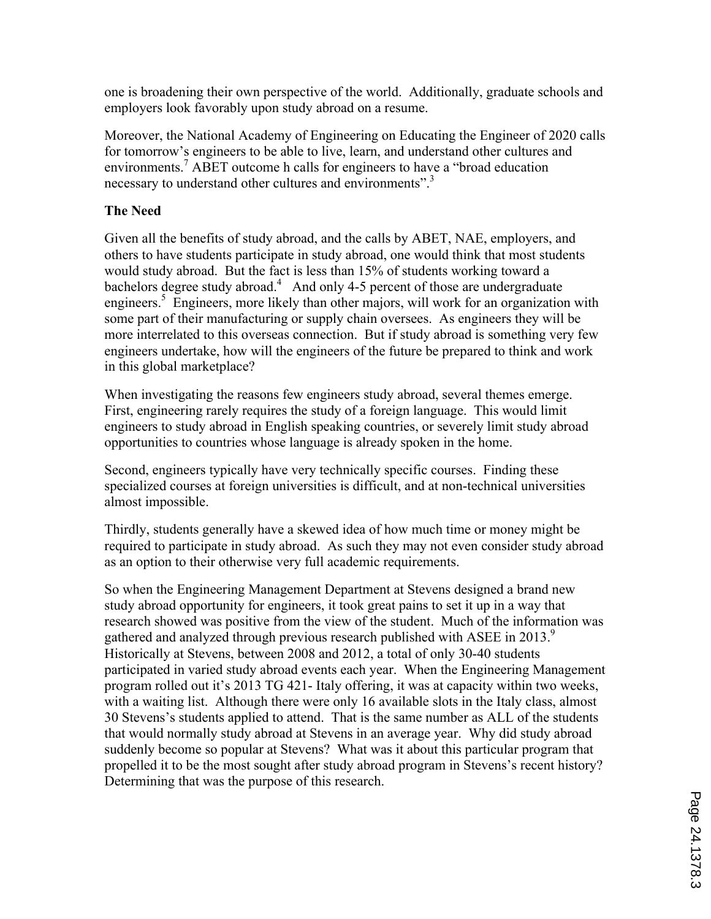one is broadening their own perspective of the world. Additionally, graduate schools and employers look favorably upon study abroad on a resume.

Moreover, the National Academy of Engineering on Educating the Engineer of 2020 calls for tomorrow's engineers to be able to live, learn, and understand other cultures and environments.<sup>7</sup> ABET outcome h calls for engineers to have a "broad education" necessary to understand other cultures and environments".<sup>3</sup>

# **The Need**

Given all the benefits of study abroad, and the calls by ABET, NAE, employers, and others to have students participate in study abroad, one would think that most students would study abroad. But the fact is less than 15% of students working toward a bachelors degree study abroad.<sup>4</sup> And only 4-5 percent of those are undergraduate engineers.<sup>5</sup> Engineers, more likely than other majors, will work for an organization with some part of their manufacturing or supply chain oversees. As engineers they will be more interrelated to this overseas connection. But if study abroad is something very few engineers undertake, how will the engineers of the future be prepared to think and work in this global marketplace?

When investigating the reasons few engineers study abroad, several themes emerge. First, engineering rarely requires the study of a foreign language. This would limit engineers to study abroad in English speaking countries, or severely limit study abroad opportunities to countries whose language is already spoken in the home.

Second, engineers typically have very technically specific courses. Finding these specialized courses at foreign universities is difficult, and at non-technical universities almost impossible.

Thirdly, students generally have a skewed idea of how much time or money might be required to participate in study abroad. As such they may not even consider study abroad as an option to their otherwise very full academic requirements.

So when the Engineering Management Department at Stevens designed a brand new study abroad opportunity for engineers, it took great pains to set it up in a way that research showed was positive from the view of the student. Much of the information was gathered and analyzed through previous research published with ASEE in 2013.<sup>9</sup> Historically at Stevens, between 2008 and 2012, a total of only 30-40 students participated in varied study abroad events each year. When the Engineering Management program rolled out it's 2013 TG 421- Italy offering, it was at capacity within two weeks, with a waiting list. Although there were only 16 available slots in the Italy class, almost 30 Stevens's students applied to attend. That is the same number as ALL of the students that would normally study abroad at Stevens in an average year. Why did study abroad suddenly become so popular at Stevens? What was it about this particular program that propelled it to be the most sought after study abroad program in Stevens's recent history? Determining that was the purpose of this research.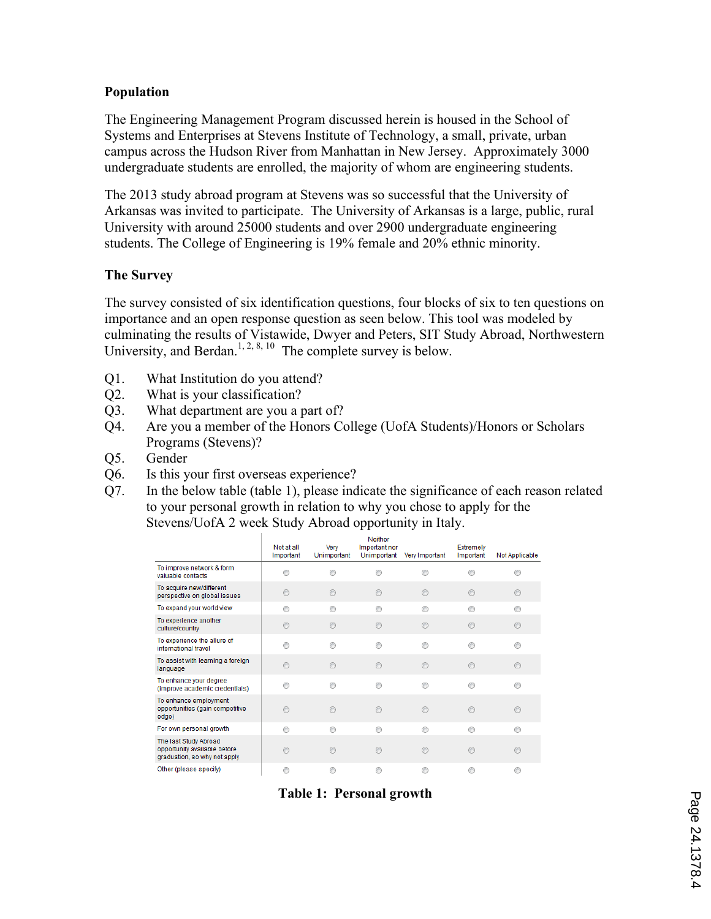# **Population**

The Engineering Management Program discussed herein is housed in the School of Systems and Enterprises at Stevens Institute of Technology, a small, private, urban campus across the Hudson River from Manhattan in New Jersey. Approximately 3000 undergraduate students are enrolled, the majority of whom are engineering students.

The 2013 study abroad program at Stevens was so successful that the University of Arkansas was invited to participate. The University of Arkansas is a large, public, rural University with around 25000 students and over 2900 undergraduate engineering students. The College of Engineering is 19% female and 20% ethnic minority.

### **The Survey**

The survey consisted of six identification questions, four blocks of six to ten questions on importance and an open response question as seen below. This tool was modeled by culminating the results of Vistawide, Dwyer and Peters, SIT Study Abroad, Northwestern University, and Berdan.<sup>1, 2, 8, 10</sup> The complete survey is below.

- Q1. What Institution do you attend?
- Q2. What is your classification?
- Q3. What department are you a part of?
- Q4. Are you a member of the Honors College (UofA Students)/Honors or Scholars Programs (Stevens)?
- Q5. Gender
- Q6. Is this your first overseas experience?
- Q7. In the below table (table 1), please indicate the significance of each reason related to your personal growth in relation to why you chose to apply for the Stevens/UofA 2 week Study Abroad opportunity in Italy.

|                                                                                       | Not at all<br>Important | Very<br>Unimportant | <b>Neither</b><br>Important nor<br>Unimportant | Very Important | Extremely<br>Important | Not Applicable |
|---------------------------------------------------------------------------------------|-------------------------|---------------------|------------------------------------------------|----------------|------------------------|----------------|
| To improve network & form<br>valuable contacts                                        |                         |                     |                                                |                |                        |                |
| To acquire new/different<br>perspective on global issues                              | ∩                       | ∩                   | $\odot$                                        | R              | ⋒                      | ⋒              |
| To expand your world view                                                             | ∩                       | ∩                   | ⋒                                              | ∩              | ∩                      | ∩              |
| To experience another<br>culture/country                                              | ∩                       |                     | ⋒                                              |                | ⋒                      | ⋒              |
| To experience the allure of<br>international travel                                   |                         |                     |                                                |                |                        |                |
| To assist with learning a foreign<br>language                                         | ◉                       | ∩                   | $\circledcirc$                                 | ∩              | $\odot$                | ∩              |
| To enhance your degree<br>(improve academic credentials)                              | ⋒                       | ⋒                   | ⋒                                              | ⋒              | ⋒                      | O.             |
| To enhance employment<br>opportunities (gain competitive<br>edge)                     | ⋒                       |                     | ⋒                                              | ⋒              | ⋒                      | ⋒              |
| For own personal growth                                                               |                         |                     |                                                | ⋒              |                        | ⋒              |
| The last Study Abroad<br>opportunity available before<br>graduation, so why not apply | ⋒                       |                     | ∩                                              |                | ⋒                      |                |
| Other (please specify)                                                                |                         |                     |                                                |                |                        | ⋒              |

**Table 1: Personal growth**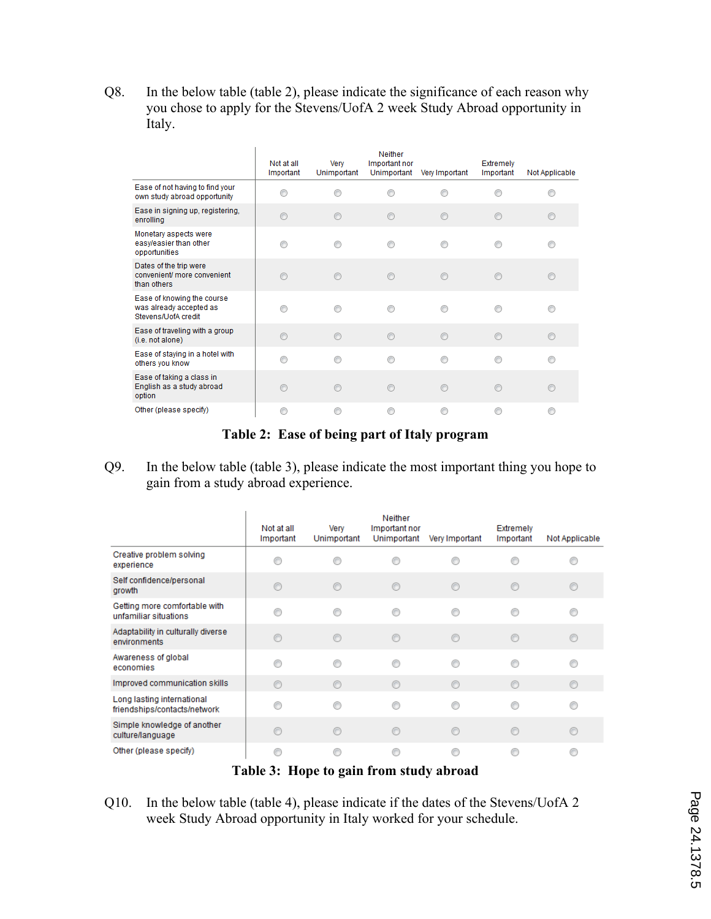Q8. In the below table (table 2), please indicate the significance of each reason why you chose to apply for the Stevens/UofA 2 week Study Abroad opportunity in Italy.

|                                                                              | Not at all<br>Important | Very<br>Unimportant | Neither<br>Important nor<br>Unimportant | Very Important | Extremely<br>Important | Not Applicable |
|------------------------------------------------------------------------------|-------------------------|---------------------|-----------------------------------------|----------------|------------------------|----------------|
| Ease of not having to find your<br>own study abroad opportunity              |                         | ∩                   | ⋒                                       | ∩              |                        | ⋒              |
| Ease in signing up, registering,<br>enrolling                                | ∩                       | $\circledcirc$      | $\odot$                                 | $\circledcirc$ | ⋒                      | $\circledcirc$ |
| Monetary aspects were<br>easy/easier than other<br>opportunities             | ⋒                       | ∩                   | ◉                                       | ◉              | ⋒                      | ⊙              |
| Dates of the trip were<br>convenient/ more convenient<br>than others         | ⋒                       | ∩                   | $\odot$                                 | $\odot$        | e                      | €              |
| Ease of knowing the course<br>was already accepted as<br>Stevens/UofA credit |                         | ∩                   | ⋒                                       | ∩              | ⋒                      | ∩              |
| Ease of traveling with a group<br>(i.e. not alone)                           | ∩                       | ◉                   | $\odot$                                 | ∩              | $\odot$                | $\odot$        |
| Ease of staying in a hotel with<br>others you know                           | O.                      | ∩                   | ⋒                                       | ∩              | ⋒                      | ∩              |
| Ease of taking a class in<br>English as a study abroad<br>option             | ⋒                       | ∩                   | $\odot$                                 | ∩              | e                      | $\circledcirc$ |
| Other (please specify)                                                       |                         | ∩                   | €                                       | ∩              |                        | ⋒              |

#### **Table 2: Ease of being part of Italy program**

Q9. In the below table (table 3), please indicate the most important thing you hope to gain from a study abroad experience.

|                                                            | Not at all<br>Important                 | Very<br>Unimportant | Neither<br>Important nor<br>Unimportant | Very Important | Extremely<br>Important | Not Applicable |
|------------------------------------------------------------|-----------------------------------------|---------------------|-----------------------------------------|----------------|------------------------|----------------|
| Creative problem solving<br>experience                     |                                         | ∩                   |                                         |                |                        |                |
| Self confidence/personal<br>growth                         | ⊙                                       | ◉                   |                                         | ◎              |                        | O              |
| Getting more comfortable with<br>unfamiliar situations     |                                         | ∩                   |                                         | ⋒              |                        | ⋒              |
| Adaptability in culturally diverse<br>environments         | ∩                                       | $\odot$             | ⋒                                       | ∩              |                        | €              |
| Awareness of global<br>economies                           |                                         | ∩                   |                                         |                |                        |                |
| Improved communication skills                              | $\odot$                                 | $\odot$             | ∩                                       | ⋒              | ⋒                      | ∩              |
| Long lasting international<br>friendships/contacts/network |                                         | ⋒                   |                                         |                |                        |                |
| Simple knowledge of another<br>culture/language            |                                         | ⋒                   |                                         | A              |                        |                |
| Other (please specify)                                     |                                         |                     |                                         |                |                        |                |
|                                                            | Toble 2. Hana to goin from study abroad |                     |                                         |                |                        |                |

- **Table 3: Hope to gain from study abroad**
- Q10. In the below table (table 4), please indicate if the dates of the Stevens/UofA 2 week Study Abroad opportunity in Italy worked for your schedule.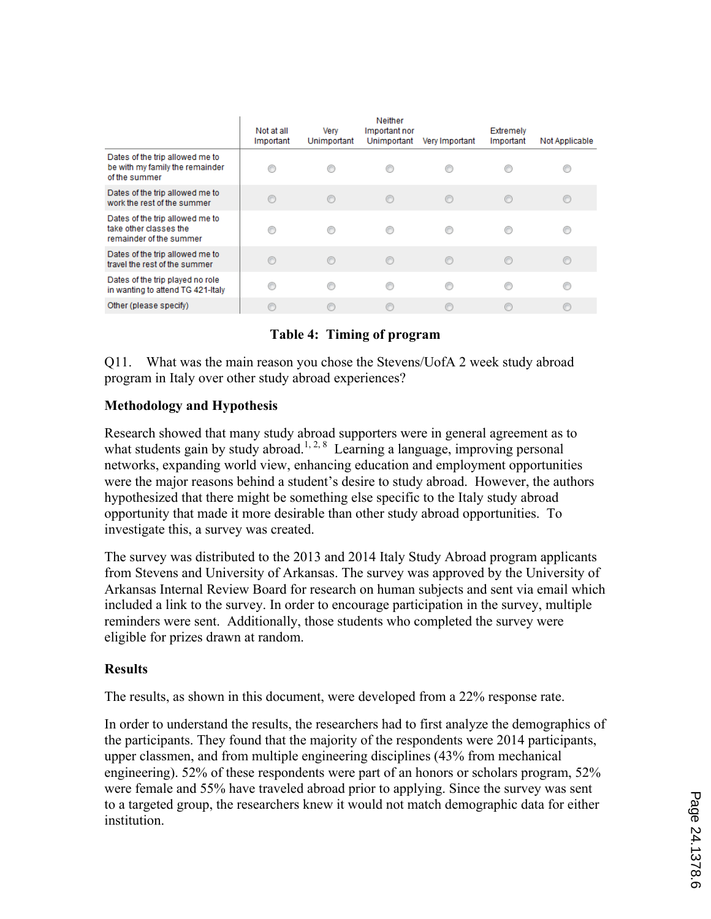|                                                                                      | Not at all<br>Important | Verv<br>Unimportant | Neither<br>Important nor<br>Unimportant | Very Important | Extremely<br>Important | Not Applicable |
|--------------------------------------------------------------------------------------|-------------------------|---------------------|-----------------------------------------|----------------|------------------------|----------------|
| Dates of the trip allowed me to<br>be with my family the remainder<br>of the summer  |                         |                     |                                         |                |                        |                |
| Dates of the trip allowed me to<br>work the rest of the summer                       |                         | $\circledcirc$      | $\odot$                                 | $\circledcirc$ | $\circ$                | O              |
| Dates of the trip allowed me to<br>take other classes the<br>remainder of the summer |                         |                     |                                         | ∩              |                        |                |
| Dates of the trip allowed me to<br>travel the rest of the summer                     |                         | ∩                   | ∩                                       | ∩              |                        | C              |
| Dates of the trip played no role<br>in wanting to attend TG 421-Italy                |                         |                     |                                         | ⊙              |                        | €              |
| Other (please specify)                                                               |                         |                     |                                         |                |                        |                |

### **Table 4: Timing of program**

Q11. What was the main reason you chose the Stevens/UofA 2 week study abroad program in Italy over other study abroad experiences?

### **Methodology and Hypothesis**

Research showed that many study abroad supporters were in general agreement as to what students gain by study abroad.<sup>1, 2, 8</sup> Learning a language, improving personal networks, expanding world view, enhancing education and employment opportunities were the major reasons behind a student's desire to study abroad. However, the authors hypothesized that there might be something else specific to the Italy study abroad opportunity that made it more desirable than other study abroad opportunities. To investigate this, a survey was created.

The survey was distributed to the 2013 and 2014 Italy Study Abroad program applicants from Stevens and University of Arkansas. The survey was approved by the University of Arkansas Internal Review Board for research on human subjects and sent via email which included a link to the survey. In order to encourage participation in the survey, multiple reminders were sent. Additionally, those students who completed the survey were eligible for prizes drawn at random.

#### **Results**

The results, as shown in this document, were developed from a 22% response rate.

In order to understand the results, the researchers had to first analyze the demographics of the participants. They found that the majority of the respondents were 2014 participants, upper classmen, and from multiple engineering disciplines (43% from mechanical engineering). 52% of these respondents were part of an honors or scholars program, 52% were female and 55% have traveled abroad prior to applying. Since the survey was sent to a targeted group, the researchers knew it would not match demographic data for either institution.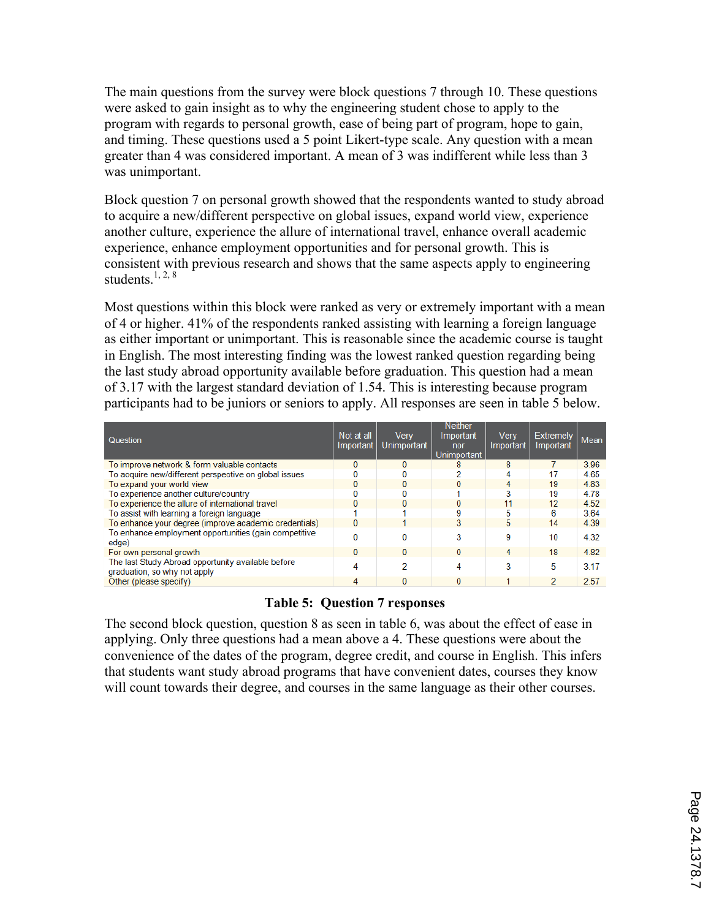The main questions from the survey were block questions 7 through 10. These questions were asked to gain insight as to why the engineering student chose to apply to the program with regards to personal growth, ease of being part of program, hope to gain, and timing. These questions used a 5 point Likert-type scale. Any question with a mean greater than 4 was considered important. A mean of 3 was indifferent while less than 3 was unimportant.

Block question 7 on personal growth showed that the respondents wanted to study abroad to acquire a new/different perspective on global issues, expand world view, experience another culture, experience the allure of international travel, enhance overall academic experience, enhance employment opportunities and for personal growth. This is consistent with previous research and shows that the same aspects apply to engineering students. $1, 2, 8$ 

Most questions within this block were ranked as very or extremely important with a mean of 4 or higher. 41% of the respondents ranked assisting with learning a foreign language as either important or unimportant. This is reasonable since the academic course is taught in English. The most interesting finding was the lowest ranked question regarding being the last study abroad opportunity available before graduation. This question had a mean of 3.17 with the largest standard deviation of 1.54. This is interesting because program participants had to be juniors or seniors to apply. All responses are seen in table 5 below.

| Question                                                                           | Not at all<br>Important | <b>Verv</b><br>Unimportant | <b>Neither</b><br>Important<br>nor<br>Unimportant | <b>Verv</b><br>Important | <b>Extremely</b><br>Important | Mean |
|------------------------------------------------------------------------------------|-------------------------|----------------------------|---------------------------------------------------|--------------------------|-------------------------------|------|
| To improve network & form valuable contacts                                        | 0                       | $\Omega$                   | 8                                                 | 8                        |                               | 3.96 |
| To acquire new/different perspective on global issues                              |                         |                            |                                                   | 4                        | 17                            | 4.65 |
| To expand your world view                                                          | 0                       | $\Omega$                   | 0                                                 | 4                        | 19                            | 4.83 |
| To experience another culture/country                                              |                         |                            |                                                   | 3                        | 19                            | 4.78 |
| To experience the allure of international travel                                   | n                       | $\Omega$                   | 0                                                 | 11                       | 12                            | 4.52 |
| To assist with learning a foreign language                                         |                         |                            | 9                                                 | 5                        | в                             | 3.64 |
| To enhance your degree (improve academic credentials)                              | 0                       |                            | 3                                                 | 5                        | 14                            | 4.39 |
| To enhance employment opportunities (gain competitive<br>edge)                     |                         | $\Omega$                   | 3                                                 | 9                        | 10                            | 4.32 |
| For own personal growth                                                            | 0                       | $\Omega$                   | 0                                                 | 4                        | 18                            | 4.82 |
| The last Study Abroad opportunity available before<br>graduation, so why not apply | 4                       | 2                          | 4                                                 | 3                        | 5                             | 3.17 |
| Other (please specify)                                                             | 4                       | $\Omega$                   | $\Omega$                                          |                          | 2                             | 2.57 |

#### **Table 5: Question 7 responses**

The second block question, question 8 as seen in table 6, was about the effect of ease in applying. Only three questions had a mean above a 4. These questions were about the convenience of the dates of the program, degree credit, and course in English. This infers that students want study abroad programs that have convenient dates, courses they know will count towards their degree, and courses in the same language as their other courses.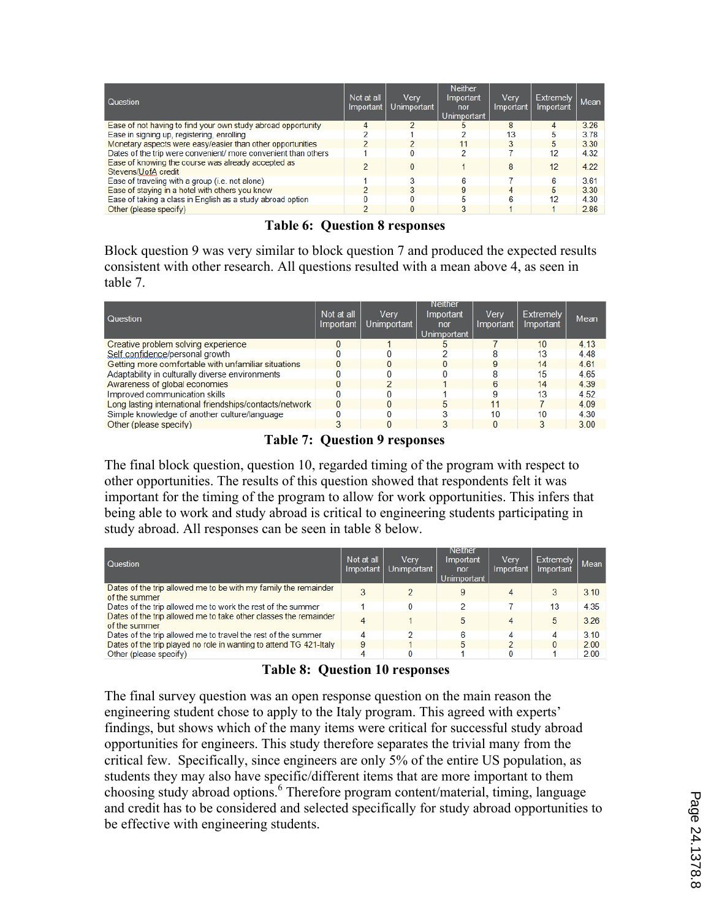| Question                                                                  | Not at all<br>Important | Very<br>Unimportant | <b>Neither</b><br>Important<br>nor<br><b>Unimportant</b> | Verv<br>Important | <b>Extremely</b><br>Important | Mean |
|---------------------------------------------------------------------------|-------------------------|---------------------|----------------------------------------------------------|-------------------|-------------------------------|------|
| Ease of not having to find your own study abroad opportunity              | 4                       | 2                   | b.                                                       | 8                 | 4                             | 3.26 |
| Ease in signing up, registering, enrolling                                |                         |                     |                                                          | 13                |                               | 3.78 |
| Monetary aspects were easy/easier than other opportunities                |                         | o                   | 11                                                       | 3                 | 5                             | 3.30 |
| Dates of the trip were convenient/ more convenient than others            |                         |                     |                                                          |                   | 12                            | 4.32 |
| Ease of knowing the course was already accepted as<br>Stevens/UofA credit |                         | 0                   |                                                          | 8                 | 12                            | 4.22 |
| Ease of traveling with a group (i.e. not alone)                           |                         | 3                   |                                                          |                   | 6                             | 3.61 |
| Ease of staying in a hotel with others you know                           |                         | 3                   |                                                          | 4                 | 5                             | 3.30 |
| Ease of taking a class in English as a study abroad option                |                         |                     |                                                          | в                 | 12                            | 4.30 |
| Other (please specify)                                                    |                         |                     | 3                                                        |                   |                               | 2.86 |

#### **Table 6: Question 8 responses**

Block question 9 was very similar to block question 7 and produced the expected results consistent with other research. All questions resulted with a mean above 4, as seen in table 7.

| Question                                                | Not at all<br>Important | Verv<br>Unimportant | Neither<br>Important<br>nor<br>Unimportant | <b>Very</b><br>Important | <b>Extremely</b><br>Important | Mean |
|---------------------------------------------------------|-------------------------|---------------------|--------------------------------------------|--------------------------|-------------------------------|------|
| Creative problem solving experience                     |                         |                     | ь                                          |                          | 10 <sup>1</sup>               | 4.13 |
| Self confidence/personal growth                         |                         |                     |                                            |                          | 13                            | 4.48 |
| Getting more comfortable with unfamiliar situations     |                         | 0                   |                                            | 9                        | 14                            | 4.61 |
| Adaptability in culturally diverse environments         |                         |                     |                                            | я                        | 15                            | 4.65 |
| Awareness of global economies                           |                         | 2                   |                                            | 6                        | 14                            | 4.39 |
| Improved communication skills                           |                         |                     |                                            | 9                        | 13                            | 4.52 |
| Long lasting international friendships/contacts/network |                         | 0                   |                                            | 11                       |                               | 4.09 |
| Simple knowledge of another culture/language            |                         |                     |                                            | 10                       | 10                            | 4.30 |
| Other (please specify)                                  |                         | $\Omega$            |                                            |                          | 3                             | 3.00 |

### **Table 7: Question 9 responses**

The final block question, question 10, regarded timing of the program with respect to other opportunities. The results of this question showed that respondents felt it was important for the timing of the program to allow for work opportunities. This infers that being able to work and study abroad is critical to engineering students participating in study abroad. All responses can be seen in table 8 below.

| Question                                                                          | Not at all<br>Important | Verv<br>Unimportant | Neither<br>Important<br>nor<br><b>Unimportant</b> | Verv<br>Important | <b>Extremely</b><br>Important | Mean |
|-----------------------------------------------------------------------------------|-------------------------|---------------------|---------------------------------------------------|-------------------|-------------------------------|------|
| Dates of the trip allowed me to be with my family the remainder<br>of the summer  | 3                       |                     | 9                                                 | 4                 |                               | 3.10 |
| Dates of the trip allowed me to work the rest of the summer                       |                         | 0                   |                                                   |                   | 13                            | 4.35 |
| Dates of the trip allowed me to take other classes the remainder<br>of the summer | 4                       |                     | 5                                                 | 4                 | 5                             | 3.26 |
| Dates of the trip allowed me to travel the rest of the summer                     |                         | ≘                   | R                                                 | 4                 |                               | 3.10 |
| Dates of the trip played no role in wanting to attend TG 421-Italy                | 9                       |                     | 5                                                 |                   |                               | 2.00 |
| Other (please specify)                                                            | 4                       |                     |                                                   |                   |                               | 2.00 |

# **Table 8: Question 10 responses**

The final survey question was an open response question on the main reason the engineering student chose to apply to the Italy program. This agreed with experts' findings, but shows which of the many items were critical for successful study abroad opportunities for engineers. This study therefore separates the trivial many from the critical few. Specifically, since engineers are only 5% of the entire US population, as students they may also have specific/different items that are more important to them choosing study abroad options.<sup>6</sup> Therefore program content/material, timing, language and credit has to be considered and selected specifically for study abroad opportunities to be effective with engineering students.